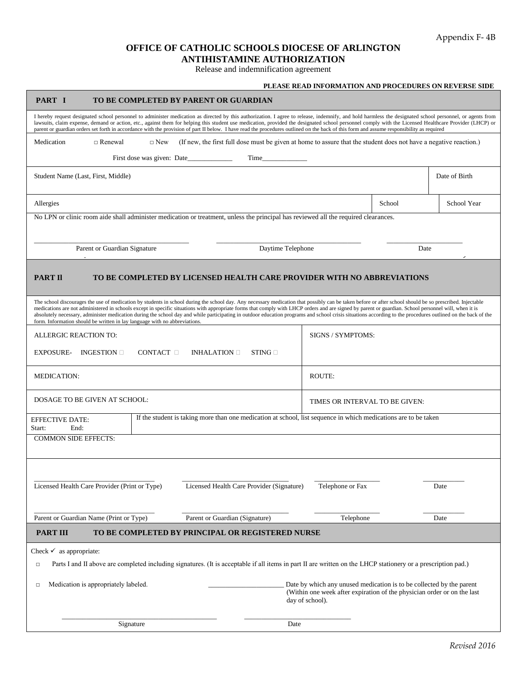## **OFFICE OF CATHOLIC SCHOOLS DIOCESE OF ARLINGTON ANTIHISTAMINE AUTHORIZATION**

Release and indemnification agreement

|                                                                                                                                                                                                                                                                                                                                                                                                                                                                                                                                                                                                                                                                                                                               |                                                                                                                 |  |           |                                |                   | PLEASE READ INFORMATION AND PROCEDURES ON REVERSE SIDE |  |
|-------------------------------------------------------------------------------------------------------------------------------------------------------------------------------------------------------------------------------------------------------------------------------------------------------------------------------------------------------------------------------------------------------------------------------------------------------------------------------------------------------------------------------------------------------------------------------------------------------------------------------------------------------------------------------------------------------------------------------|-----------------------------------------------------------------------------------------------------------------|--|-----------|--------------------------------|-------------------|--------------------------------------------------------|--|
| PART I<br>TO BE COMPLETED BY PARENT OR GUARDIAN                                                                                                                                                                                                                                                                                                                                                                                                                                                                                                                                                                                                                                                                               |                                                                                                                 |  |           |                                |                   |                                                        |  |
| I hereby request designated school personnel to administer medication as directed by this authorization. I agree to release, indemnify, and hold harmless the designated school personnel, or agents from<br>lawsuits, claim expense, demand or action, etc., against them for helping this student use medication, provided the designated school personnel comply with the Licensed Healthcare Provider (LHCP) or<br>parent or guardian orders set forth in accordance with the provision of part II below. I have read the procedures outlined on the back of this form and assume responsibility as required                                                                                                              |                                                                                                                 |  |           |                                |                   |                                                        |  |
| (If new, the first full dose must be given at home to assure that the student does not have a negative reaction.)<br>Medication<br>$\Box$ Renewal<br>$\Box$ New                                                                                                                                                                                                                                                                                                                                                                                                                                                                                                                                                               |                                                                                                                 |  |           |                                |                   |                                                        |  |
|                                                                                                                                                                                                                                                                                                                                                                                                                                                                                                                                                                                                                                                                                                                               |                                                                                                                 |  | Time Time |                                |                   |                                                        |  |
| Student Name (Last, First, Middle)                                                                                                                                                                                                                                                                                                                                                                                                                                                                                                                                                                                                                                                                                            |                                                                                                                 |  |           |                                |                   | Date of Birth                                          |  |
| Allergies                                                                                                                                                                                                                                                                                                                                                                                                                                                                                                                                                                                                                                                                                                                     |                                                                                                                 |  |           |                                | School            | School Year                                            |  |
| No LPN or clinic room aide shall administer medication or treatment, unless the principal has reviewed all the required clearances.                                                                                                                                                                                                                                                                                                                                                                                                                                                                                                                                                                                           |                                                                                                                 |  |           |                                |                   |                                                        |  |
| Parent or Guardian Signature<br>Daytime Telephone                                                                                                                                                                                                                                                                                                                                                                                                                                                                                                                                                                                                                                                                             |                                                                                                                 |  |           | Date                           |                   |                                                        |  |
| <b>PART II</b><br>TO BE COMPLETED BY LICENSED HEALTH CARE PROVIDER WITH NO ABBREVIATIONS<br>The school discourages the use of medication by students in school during the school day. Any necessary medication that possibly can be taken before or after school should be so prescribed. Injectable<br>medications are not administered in schools except in specific situations with appropriate forms that comply with LHCP orders and are signed by parent or guardian. School personnel will, when it is<br>absolutely necessary, administer medication during the school day and while participating in outdoor education programs and school crisis situations according to the procedures outlined on the back of the |                                                                                                                 |  |           |                                |                   |                                                        |  |
| form. Information should be written in lay language with no abbreviations.<br>ALLERGIC REACTION TO:                                                                                                                                                                                                                                                                                                                                                                                                                                                                                                                                                                                                                           |                                                                                                                 |  |           |                                | SIGNS / SYMPTOMS: |                                                        |  |
| CONTACT $\Box$<br><b>EXPOSURE-</b><br>INGESTION $\square$<br>INHALATION $\Box$<br>$STING \square$                                                                                                                                                                                                                                                                                                                                                                                                                                                                                                                                                                                                                             |                                                                                                                 |  |           |                                |                   |                                                        |  |
| <b>MEDICATION:</b>                                                                                                                                                                                                                                                                                                                                                                                                                                                                                                                                                                                                                                                                                                            |                                                                                                                 |  |           | <b>ROUTE:</b>                  |                   |                                                        |  |
| DOSAGE TO BE GIVEN AT SCHOOL:                                                                                                                                                                                                                                                                                                                                                                                                                                                                                                                                                                                                                                                                                                 |                                                                                                                 |  |           | TIMES OR INTERVAL TO BE GIVEN: |                   |                                                        |  |
| <b>EFFECTIVE DATE:</b><br>End:<br>Start:                                                                                                                                                                                                                                                                                                                                                                                                                                                                                                                                                                                                                                                                                      | If the student is taking more than one medication at school, list sequence in which medications are to be taken |  |           |                                |                   |                                                        |  |
| <b>COMMON SIDE EFFECTS:</b>                                                                                                                                                                                                                                                                                                                                                                                                                                                                                                                                                                                                                                                                                                   |                                                                                                                 |  |           |                                |                   |                                                        |  |
|                                                                                                                                                                                                                                                                                                                                                                                                                                                                                                                                                                                                                                                                                                                               |                                                                                                                 |  |           |                                |                   |                                                        |  |
| Licensed Health Care Provider (Print or Type)<br>Licensed Health Care Provider (Signature)                                                                                                                                                                                                                                                                                                                                                                                                                                                                                                                                                                                                                                    |                                                                                                                 |  |           | Telephone or Fax               |                   | Date                                                   |  |
| Parent or Guardian Name (Print or Type)<br>Parent or Guardian (Signature)                                                                                                                                                                                                                                                                                                                                                                                                                                                                                                                                                                                                                                                     |                                                                                                                 |  |           | Telephone                      |                   | Date                                                   |  |
| <b>PART III</b><br>TO BE COMPLETED BY PRINCIPAL OR REGISTERED NURSE                                                                                                                                                                                                                                                                                                                                                                                                                                                                                                                                                                                                                                                           |                                                                                                                 |  |           |                                |                   |                                                        |  |
| Check $\checkmark$ as appropriate:<br>Parts I and II above are completed including signatures. (It is acceptable if all items in part II are written on the LHCP stationery or a prescription pad.)<br>□                                                                                                                                                                                                                                                                                                                                                                                                                                                                                                                      |                                                                                                                 |  |           |                                |                   |                                                        |  |
| Medication is appropriately labeled.<br>Date by which any unused medication is to be collected by the parent<br>□<br>(Within one week after expiration of the physician order or on the last<br>day of school).                                                                                                                                                                                                                                                                                                                                                                                                                                                                                                               |                                                                                                                 |  |           |                                |                   |                                                        |  |
| Signature                                                                                                                                                                                                                                                                                                                                                                                                                                                                                                                                                                                                                                                                                                                     |                                                                                                                 |  | Date      |                                |                   |                                                        |  |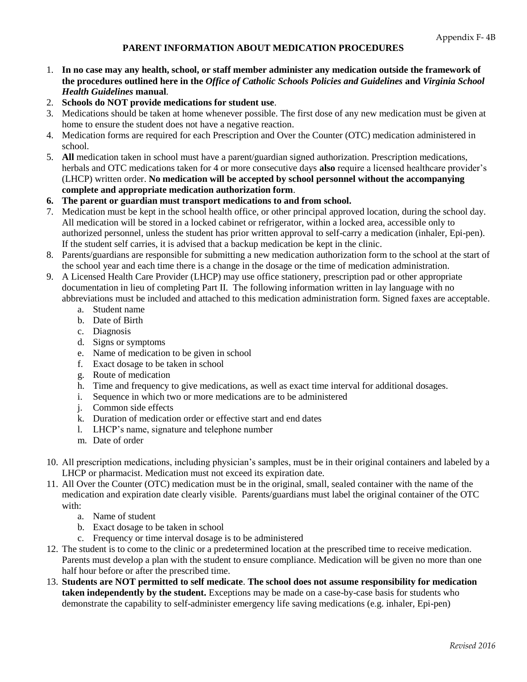## **PARENT INFORMATION ABOUT MEDICATION PROCEDURES**

- 1. **In no case may any health, school, or staff member administer any medication outside the framework of the procedures outlined here in the** *Office of Catholic Schools Policies and Guidelines* **and** *Virginia School Health Guidelines* **manual**.
- 2. **Schools do NOT provide medications for student use**.
- 3. Medications should be taken at home whenever possible. The first dose of any new medication must be given at home to ensure the student does not have a negative reaction.
- 4. Medication forms are required for each Prescription and Over the Counter (OTC) medication administered in school.
- 5. **All** medication taken in school must have a parent/guardian signed authorization. Prescription medications, herbals and OTC medications taken for 4 or more consecutive days **also** require a licensed healthcare provider's (LHCP) written order. **No medication will be accepted by school personnel without the accompanying complete and appropriate medication authorization form**.
- **6. The parent or guardian must transport medications to and from school.**
- 7. Medication must be kept in the school health office, or other principal approved location, during the school day. All medication will be stored in a locked cabinet or refrigerator, within a locked area, accessible only to authorized personnel, unless the student has prior written approval to self-carry a medication (inhaler, Epi-pen). If the student self carries, it is advised that a backup medication be kept in the clinic.
- 8. Parents/guardians are responsible for submitting a new medication authorization form to the school at the start of the school year and each time there is a change in the dosage or the time of medication administration.
- 9. A Licensed Health Care Provider (LHCP) may use office stationery, prescription pad or other appropriate documentation in lieu of completing Part II. The following information written in lay language with no abbreviations must be included and attached to this medication administration form. Signed faxes are acceptable.
	- a. Student name
	- b. Date of Birth
	- c. Diagnosis
	- d. Signs or symptoms
	- e. Name of medication to be given in school
	- f. Exact dosage to be taken in school
	- g. Route of medication
	- h. Time and frequency to give medications, as well as exact time interval for additional dosages.
	- i. Sequence in which two or more medications are to be administered
	- j. Common side effects
	- k. Duration of medication order or effective start and end dates
	- l. LHCP's name, signature and telephone number
	- m. Date of order
- 10. All prescription medications, including physician's samples, must be in their original containers and labeled by a LHCP or pharmacist. Medication must not exceed its expiration date.
- 11. All Over the Counter (OTC) medication must be in the original, small, sealed container with the name of the medication and expiration date clearly visible. Parents/guardians must label the original container of the OTC with:
	- a. Name of student
	- b. Exact dosage to be taken in school
	- c. Frequency or time interval dosage is to be administered
- 12. The student is to come to the clinic or a predetermined location at the prescribed time to receive medication. Parents must develop a plan with the student to ensure compliance. Medication will be given no more than one half hour before or after the prescribed time.
- 13. **Students are NOT permitted to self medicate**. **The school does not assume responsibility for medication taken independently by the student.** Exceptions may be made on a case-by-case basis for students who demonstrate the capability to self-administer emergency life saving medications (e.g. inhaler, Epi-pen)